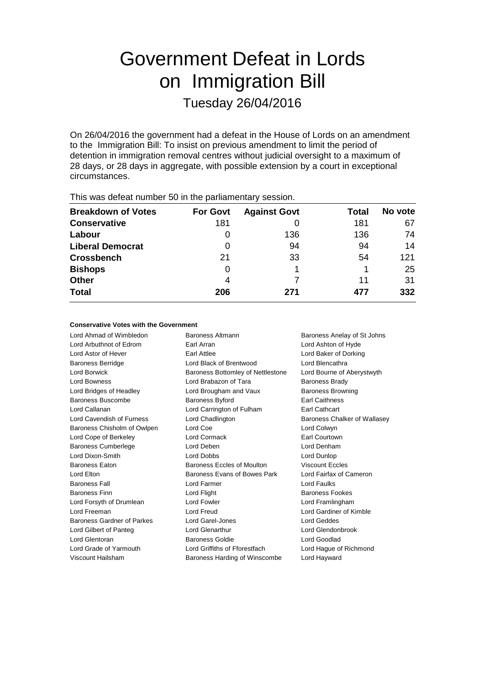# Government Defeat in Lords on Immigration Bill Tuesday 26/04/2016

On 26/04/2016 the government had a defeat in the House of Lords on an amendment to the Immigration Bill: To insist on previous amendment to limit the period of detention in immigration removal centres without judicial oversight to a maximum of 28 days, or 28 days in aggregate, with possible extension by a court in exceptional circumstances.

| $1.1.00$ and we can find the contract of $\alpha$ and $\beta$ are position to the contract $\beta$ |                 |                     |       |         |  |
|----------------------------------------------------------------------------------------------------|-----------------|---------------------|-------|---------|--|
| <b>Breakdown of Votes</b>                                                                          | <b>For Govt</b> | <b>Against Govt</b> | Total | No vote |  |
| <b>Conservative</b>                                                                                | 181             |                     | 181   | 67      |  |
| Labour                                                                                             |                 | 136                 | 136   | 74      |  |
| <b>Liberal Democrat</b>                                                                            | 0               | 94                  | 94    | 14      |  |
| <b>Crossbench</b>                                                                                  | 21              | 33                  | 54    | 121     |  |
| <b>Bishops</b>                                                                                     | 0               |                     |       | 25      |  |
| <b>Other</b>                                                                                       | 4               |                     | 11    | 31      |  |
| <b>Total</b>                                                                                       | 206             | 271                 | 477   | 332     |  |
|                                                                                                    |                 |                     |       |         |  |

This was defeat number 50 in the parliamentary session.

### **Conservative Votes with the Government**

Lord Ahmad of Wimbledon Baroness Altmann Baroness Anelay of St Johns Lord Arbuthnot of Edrom Earl Arran Lord Ashton of Hyde Lord Astor of Hever Earl Attlee Lord Baker of Dorking Baroness Berridge Lord Black of Brentwood Lord Blencathra Lord Borwick **Baroness Bottomley of Nettlestone** Lord Bourne of Aberystwyth Lord Bowness **Lord Brabazon of Tara** Baroness Brady Lord Bridges of Headley **Lord Brougham and Vaux** Baroness Browning Baroness Buscombe **Baroness Byford** Earl Caithness Lord Callanan Lord Carrington of Fulham Earl Cathcart Lord Cavendish of Furness Lord Chadlington **Baroness Chalker of Wallasey** Baroness Chisholm of Owlpen Lord Coe Lord Colwyn Lord Cope of Berkeley Lord Cormack Earl Courtown Baroness Cumberlege **Lord Deben** Lord Denham Lord Dixon-Smith Lord Dobbs Lord Dunlop Baroness Eaton Baroness Eccles of Moulton Viscount Eccles Lord Elton **Baroness Evans of Bowes Park** Lord Fairfax of Cameron Baroness Fall **Example 2** Lord Farmer **Lord Faultism** Lord Faulks Baroness Finn **Example 20** Lord Flight **Example 20 Lord Flight** Baroness Fookes Lord Forsyth of Drumlean Lord Fowler Lord Framlingham Lord Freeman Lord Freud Lord Gardiner of Kimble Baroness Gardner of Parkes Lord Garel-Jones Lord Geddes Lord Gilbert of Panteg Lord Glenarthur Lord Glendonbrook Lord Glentoran Baroness Goldie Lord Goodlad Lord Grade of Yarmouth Lord Griffiths of Fforestfach Lord Hague of Richmond Viscount Hailsham Baroness Harding of Winscombe Lord Hayward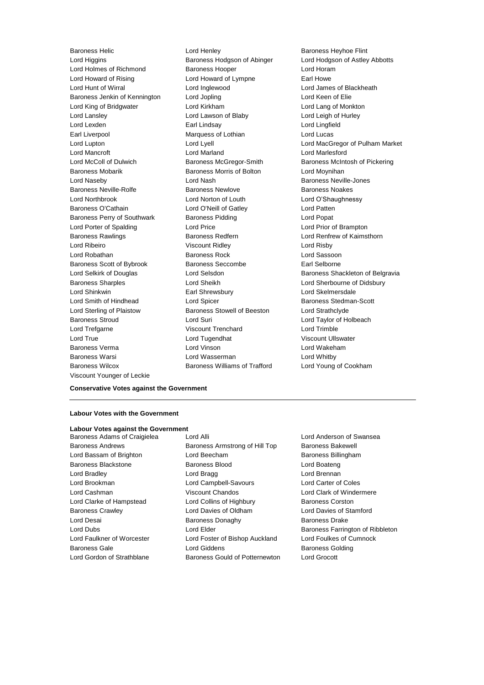Lord Higgins **Baroness Hodgson of Abinger** Lord Hodgson of Astley Abbotts Lord Holmes of Richmond Baroness Hooper Controller Lord Horam Lord Howard of Rising **Lord Howard of Lympne** Earl Howe Lord Hunt of Wirral Lord Inglewood Lord James of Blackheath Baroness Jenkin of Kennington Lord Jopling Corporation Lord Keen of Elie Lord King of Bridgwater Lord Kirkham Lord Lang of Monkton Lord Lansley **Lord Lawson of Blaby** Lord Lord Leigh of Hurley Lord Lexden Earl Lindsay Lord Lingfield Earl Liverpool Marquess of Lothian Lord Lucas Lord Mancroft Lord Marland Lord Marlesford Lord McColl of Dulwich Baroness McGregor-Smith Baroness McIntosh of Pickering Baroness Mobarik **Baroness Morris of Bolton** Lord Moynihan Lord Naseby Lord Nash Baroness Neville-Jones Baroness Neville-Rolfe Baroness Newlove Baroness Noakes Lord Northbrook Lord Norton of Louth Lord O'Shaughnessy Baroness O'Cathain **Lord O'Neill of Gatley** Lord Patten Baroness Perry of Southwark Baroness Pidding Baroness Post Lord Porter of Spalding Lord Price Lord Prior of Brampton Baroness Rawlings **Baroness Redfern Baroness Redfern** Lord Renfrew of Kaimsthorn Lord Ribeiro Viscount Ridley Lord Risby Lord Robathan Baroness Rock Lord Sassoon Baroness Scott of Bybrook Baroness Seccombe Earl Selborne Baroness Sharples Lord Sheikh Lord Sherbourne of Didsbury Lord Shinkwin Earl Shrewsbury Lord Skelmersdale Lord Smith of Hindhead Lord Spicer Baroness Stedman-Scott Lord Sterling of Plaistow Baroness Stowell of Beeston Lord Strathclyde Baroness Stroud Lord Suri Lord Taylor of Holbeach Lord Trefgarne Viscount Trenchard Lord Trimble Lord True Lord Tugendhat Viscount Ullswater Baroness Verma Lord Vinson Lord Wakeham Baroness Warsi Lord Wasserman Lord Whitby Baroness Wilcox Baroness Williams of Trafford Lord Young of Cookham Viscount Younger of Leckie

Baroness Helic **Baroness Helic** Lord Henley **Baroness Heyhoe Flint** 

Lord Lupton Lord Lyell Lord MacGregor of Pulham Market Lord Selkirk of Douglas **Lord Selsdon** Baroness Shackleton of Belgravia

**Conservative Votes against the Government**

### **Labour Votes with the Government**

### **Labour Votes against the Government**

Baroness Adams of Craigielea Lord Alli Lord Anderson of Swansea Baroness Andrews **Baroness Armstrong of Hill Top** Baroness Bakewell Lord Bassam of Brighton **Lord Beecham** Baroness Billingham Baroness Blackstone Baroness Blood Lord Boateng Lord Bradley **Lord Bragg Lord Bragg Lord Brennan** Lord Brookman Lord Campbell-Savours Lord Carter of Coles Lord Cashman Viscount Chandos Lord Clark of Windermere Lord Clarke of Hampstead Lord Collins of Highbury Baroness Corston Baroness Crawley Lord Davies of Oldham Lord Davies of Stamford Lord Desai **Baroness Donaghy** Baroness Donaghy Baroness Drake Lord Dubs **Lord Elder Baroness Farrington of Ribbleton** Lord Faulkner of Worcester Lord Foster of Bishop Auckland Lord Foulkes of Cumnock Baroness Gale **Baroness Golding** Lord Giddens **Baroness Golding** Lord Gordon of Strathblane Baroness Gould of Potternewton Lord Grocott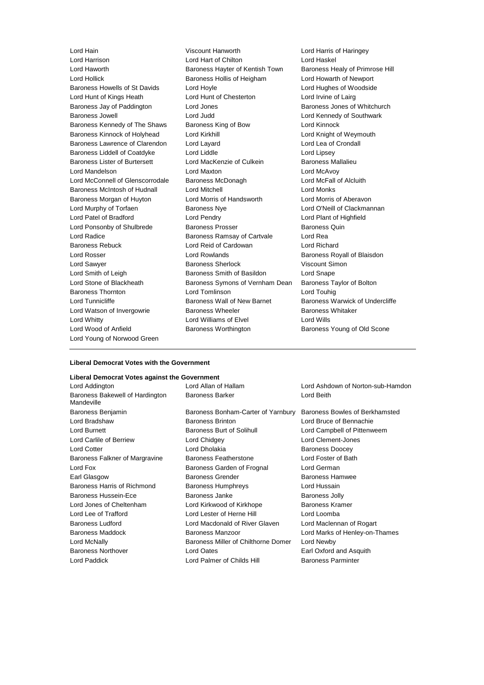Lord Haworth Baroness Hayter of Kentish Town Baroness Healy of Primrose Hill Lord Hollick **Baroness Hollis of Heigham** Lord Howarth of Newport Baroness Howells of St Davids Lord Hoyle Lord Hughes of Woodside Lord Hunt of Kings Heath Lord Hunt of Chesterton Lord Irvine of Lairg Baroness Jay of Paddington Lord Jones Baroness Jones of Whitchurch Baroness Jowell Lord Judd Lord Kennedy of Southwark Baroness Kennedy of The Shaws Baroness King of Bow Lord Kinnock Baroness Kinnock of Holyhead Lord Kirkhill Lord Kirkhill Lord Knight of Weymouth Baroness Lawrence of Clarendon Lord Layard Lord Lea of Crondall Baroness Liddell of Coatdyke Lord Liddle Lord Linsey Baroness Lister of Burtersett Lord MacKenzie of Culkein Baroness Mallalieu Lord Mandelson Lord Maxton Lord McAvoy Lord McConnell of Glenscorrodale Baroness McDonagh Lord McFall of Alcluith Baroness McIntosh of Hudnall Lord Mitchell Lord Monks Baroness Morgan of Huyton Lord Morris of Handsworth Lord Morris of Aberavon Lord Murphy of Torfaen Baroness Nye Lord O'Neill of Clackmannan Lord Patel of Bradford Lord Pendry Lord Plant of Highfield Lord Ponsonby of Shulbrede Baroness Prosser Baroness Quin Lord Radice **Baroness Ramsay of Cartvale** Lord Rea Baroness Rebuck Lord Reid of Cardowan Lord Richard Lord Rosser Lord Rowlands Baroness Royall of Blaisdon Lord Sawyer **Baroness Sherlock** Viscount Simon Lord Smith of Leigh Baroness Smith of Basildon Lord Snape Lord Stone of Blackheath Baroness Symons of Vernham Dean Baroness Taylor of Bolton Baroness Thornton Lord Tomlinson Lord Touhig Lord Tunnicliffe **Baroness Wall of New Barnet** Baroness Warwick of Undercliffe Lord Watson of Invergowrie **Baroness Wheeler** Baroness Whitaker Lord Whitty **Lord Williams of Elvel** Lord Wills Lord Wood of Anfield **Baroness Worthington** Baroness Young of Old Scone Lord Young of Norwood Green

Lord Hain Viscount Hanworth Lord Harris of Haringey Lord Hart of Chilton Lord Haskel

### **Liberal Democrat Votes with the Government**

### **Liberal Democrat Votes against the Government**

| Lord Addington                                | Lord Allan of Hallam                | Lord Ashdown of Norton-sub-Hamdon |  |
|-----------------------------------------------|-------------------------------------|-----------------------------------|--|
| Baroness Bakewell of Hardington<br>Mandeville | <b>Baroness Barker</b>              | Lord Beith                        |  |
| Baroness Benjamin                             | Baroness Bonham-Carter of Yarnbury  | Baroness Bowles of Berkhamsted    |  |
| Lord Bradshaw                                 | <b>Baroness Brinton</b>             | Lord Bruce of Bennachie           |  |
| Lord Burnett                                  | Baroness Burt of Solihull           | Lord Campbell of Pittenweem       |  |
| Lord Carlile of Berriew                       | Lord Chidgey                        | Lord Clement-Jones                |  |
| <b>Lord Cotter</b>                            | Lord Dholakia                       | <b>Baroness Doocey</b>            |  |
| Baroness Falkner of Margravine                | <b>Baroness Featherstone</b>        | Lord Foster of Bath               |  |
| Lord Fox                                      | Baroness Garden of Frognal          | Lord German                       |  |
| Earl Glasgow                                  | <b>Baroness Grender</b>             | <b>Baroness Hamwee</b>            |  |
| Baroness Harris of Richmond                   | Baroness Humphreys                  | Lord Hussain                      |  |
| <b>Baroness Hussein-Ece</b>                   | Baroness Janke                      | <b>Baroness Jolly</b>             |  |
| Lord Jones of Cheltenham                      | Lord Kirkwood of Kirkhope           | <b>Baroness Kramer</b>            |  |
| Lord Lee of Trafford                          | Lord Lester of Herne Hill           | Lord Loomba                       |  |
| <b>Baroness Ludford</b>                       | Lord Macdonald of River Glaven      | Lord Maclennan of Rogart          |  |
| <b>Baroness Maddock</b>                       | <b>Baroness Manzoor</b>             | Lord Marks of Henley-on-Thames    |  |
| Lord McNally                                  | Baroness Miller of Chilthorne Domer | Lord Newby                        |  |
| <b>Baroness Northover</b>                     | Lord Oates                          | Earl Oxford and Asquith           |  |
| Lord Paddick                                  | Lord Palmer of Childs Hill          | <b>Baroness Parminter</b>         |  |